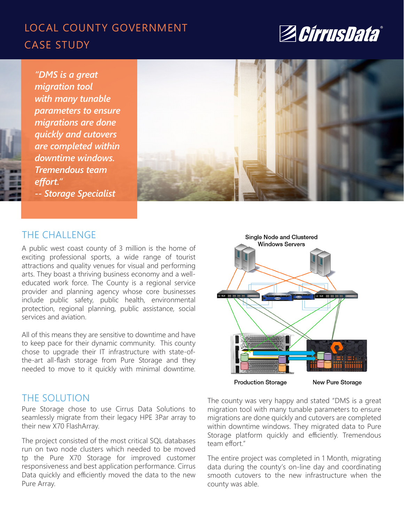# LOCAL COUNTY GOVERNMENT CASE STUDY



*"DMS is a great migration tool with many tunable parameters to ensure migrations are done quickly and cutovers are completed within downtime windows. Tremendous team effort." -- Storage Specialist*



## THE CHALLENGE

A public west coast county of 3 million is the home of exciting professional sports, a wide range of tourist attractions and quality venues for visual and performing arts. They boast a thriving business economy and a welleducated work force. The County is a regional service provider and planning agency whose core businesses include public safety, public health, environmental protection, regional planning, public assistance, social services and aviation.

All of this means they are sensitive to downtime and have to keep pace for their dynamic community. This county chose to upgrade their IT infrastructure with state-ofthe-art all-flash storage from Pure Storage and they needed to move to it quickly with minimal downtime.

## THE SOLUTION

Pure Storage chose to use Cirrus Data Solutions to seamlessly migrate from their legacy HPE 3Par array to their new X70 FlashArray.

The project consisted of the most critical SQL databases run on two node clusters which needed to be moved tp the Pure X70 Storage for improved customer responsiveness and best application performance. Cirrus Data quickly and efficiently moved the data to the new Pure Array.



The county was very happy and stated "DMS is a great migration tool with many tunable parameters to ensure migrations are done quickly and cutovers are completed within downtime windows. They migrated data to Pure Storage platform quickly and efficiently. Tremendous team effort."

The entire project was completed in 1 Month, migrating data during the county's on-line day and coordinating smooth cutovers to the new infrastructure when the county was able.